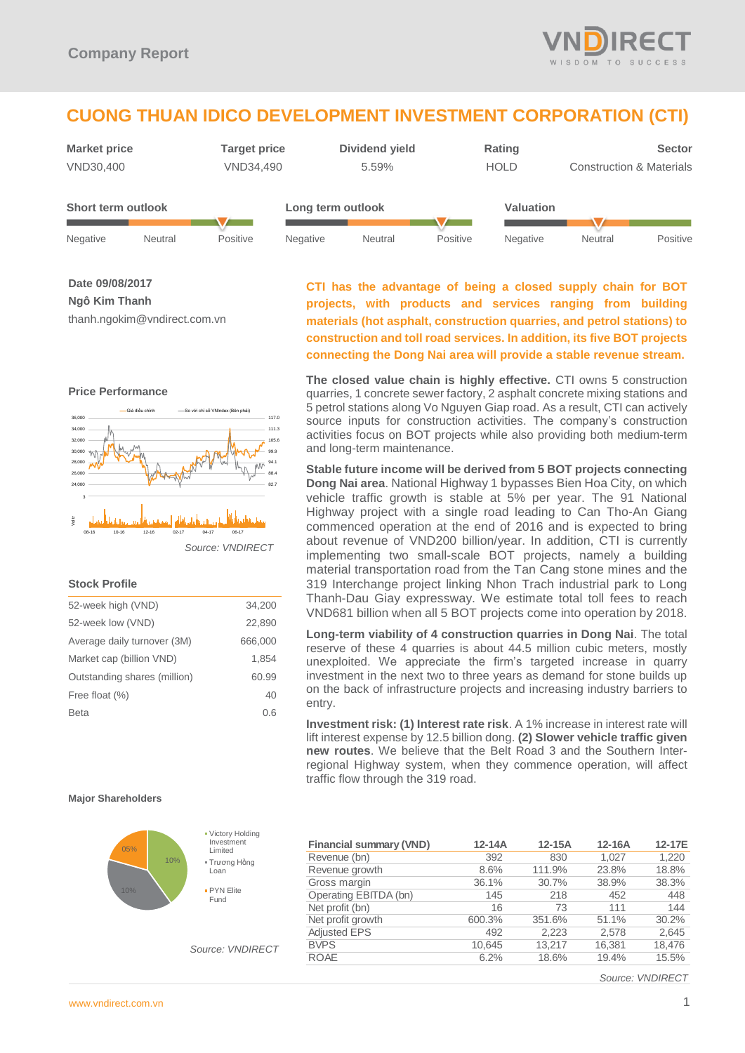

# **CUONG THUAN IDICO DEVELOPMENT INVESTMENT CORPORATION (CTI)**

| <b>Market price</b> |         | <b>Target price</b> |                   | Dividend yield |          | Rating      |                                     | <b>Sector</b> |
|---------------------|---------|---------------------|-------------------|----------------|----------|-------------|-------------------------------------|---------------|
| VND30,400           |         | VND34,490           |                   | 5.59%          |          | <b>HOLD</b> | <b>Construction &amp; Materials</b> |               |
| Short term outlook  |         |                     | Long term outlook |                |          | Valuation   |                                     |               |
| Negative            | Neutral | Positive            | Negative          | Neutral        | Positive | Negative    | <b>Neutral</b>                      | Positive      |

**Date 09/08/2017**

**Ngô Kim Thanh**

thanh.ngokim@vndirect.com.vn

#### **Price Performance**



#### *Source: VNDIRECT*

#### **Stock Profile**

| 52-week high (VND)           | 34,200  |
|------------------------------|---------|
| 52-week low (VND)            | 22,890  |
| Average daily turnover (3M)  | 666,000 |
| Market cap (billion VND)     | 1,854   |
| Outstanding shares (million) | 60.99   |
| Free float (%)               | 40      |
| <b>Beta</b>                  | 0.6     |
|                              |         |

## **CTI has the advantage of being a closed supply chain for BOT projects, with products and services ranging from building materials (hot asphalt, construction quarries, and petrol stations) to construction and toll road services. In addition, its five BOT projects connecting the Dong Nai area will provide a stable revenue stream.**

**The closed value chain is highly effective.** CTI owns 5 construction quarries, 1 concrete sewer factory, 2 asphalt concrete mixing stations and 5 petrol stations along Vo Nguyen Giap road. As a result, CTI can actively source inputs for construction activities. The company's construction activities focus on BOT projects while also providing both medium-term and long-term maintenance.

**Stable future income will be derived from 5 BOT projects connecting Dong Nai area**. National Highway 1 bypasses Bien Hoa City, on which vehicle traffic growth is stable at 5% per year. The 91 National Highway project with a single road leading to Can Tho-An Giang commenced operation at the end of 2016 and is expected to bring about revenue of VND200 billion/year. In addition, CTI is currently implementing two small-scale BOT projects, namely a building material transportation road from the Tan Cang stone mines and the 319 Interchange project linking Nhon Trach industrial park to Long Thanh-Dau Giay expressway. We estimate total toll fees to reach VND681 billion when all 5 BOT projects come into operation by 2018.

**Long-term viability of 4 construction quarries in Dong Nai**. The total reserve of these 4 quarries is about 44.5 million cubic meters, mostly unexploited. We appreciate the firm's targeted increase in quarry investment in the next two to three years as demand for stone builds up on the back of infrastructure projects and increasing industry barriers to entry.

**Investment risk: (1) Interest rate risk**. A 1% increase in interest rate will lift interest expense by 12.5 billion dong. **(2) Slower vehicle traffic given new routes**. We believe that the Belt Road 3 and the Southern Interregional Highway system, when they commence operation, will affect traffic flow through the 319 road.

#### **Major Shareholders**



*Source: VNDIRECT*

| <b>Financial summary (VND)</b> | $12 - 14A$ | $12-15A$ | $12-16A$ | 12-17E |
|--------------------------------|------------|----------|----------|--------|
| Revenue (bn)                   | 392        | 830      | 1.027    | 1,220  |
| Revenue growth                 | 8.6%       | 111.9%   | 23.8%    | 18.8%  |
| Gross margin                   | 36.1%      | 30.7%    | 38.9%    | 38.3%  |
| Operating EBITDA (bn)          | 145        | 218      | 452      | 448    |
| Net profit (bn)                | 16         | 73       | 111      | 144    |
| Net profit growth              | 600.3%     | 351.6%   | 51.1%    | 30.2%  |
| <b>Adjusted EPS</b>            | 492        | 2,223    | 2,578    | 2,645  |
| <b>BVPS</b>                    | 10.645     | 13.217   | 16.381   | 18,476 |
| <b>ROAE</b>                    | 6.2%       | 18.6%    | 19.4%    | 15.5%  |
|                                |            |          |          |        |

*Source: VNDIRECT*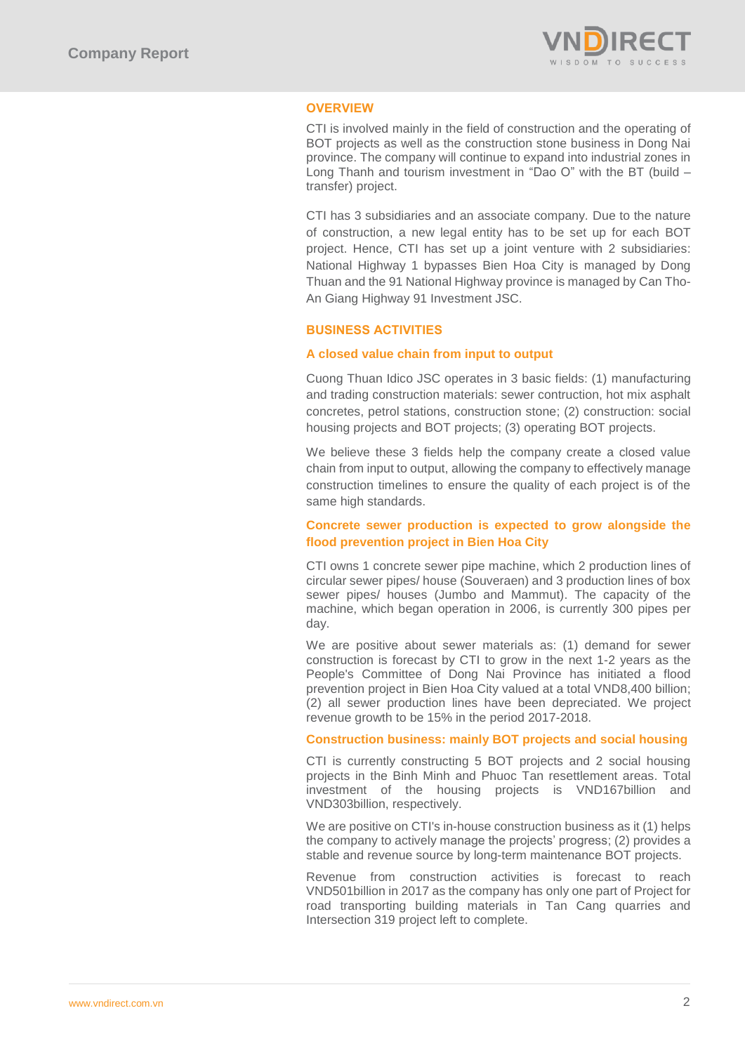

## **OVERVIEW**

CTI is involved mainly in the field of construction and the operating of BOT projects as well as the construction stone business in Dong Nai province. The company will continue to expand into industrial zones in Long Thanh and tourism investment in "Dao O" with the BT (build – transfer) project.

CTI has 3 subsidiaries and an associate company. Due to the nature of construction, a new legal entity has to be set up for each BOT project. Hence, CTI has set up a joint venture with 2 subsidiaries: National Highway 1 bypasses Bien Hoa City is managed by Dong Thuan and the 91 National Highway province is managed by Can Tho-An Giang Highway 91 Investment JSC.

## **BUSINESS ACTIVITIES**

## **A closed value chain from input to output**

Cuong Thuan Idico JSC operates in 3 basic fields: (1) manufacturing and trading construction materials: sewer contruction, hot mix asphalt concretes, petrol stations, construction stone; (2) construction: social housing projects and BOT projects; (3) operating BOT projects.

We believe these 3 fields help the company create a closed value chain from input to output, allowing the company to effectively manage construction timelines to ensure the quality of each project is of the same high standards.

## **Concrete sewer production is expected to grow alongside the flood prevention project in Bien Hoa City**

CTI owns 1 concrete sewer pipe machine, which 2 production lines of circular sewer pipes/ house (Souveraen) and 3 production lines of box sewer pipes/ houses (Jumbo and Mammut). The capacity of the machine, which began operation in 2006, is currently 300 pipes per day.

We are positive about sewer materials as: (1) demand for sewer construction is forecast by CTI to grow in the next 1-2 years as the People's Committee of Dong Nai Province has initiated a flood prevention project in Bien Hoa City valued at a total VND8,400 billion; (2) all sewer production lines have been depreciated. We project revenue growth to be 15% in the period 2017-2018.

## **Construction business: mainly BOT projects and social housing**

CTI is currently constructing 5 BOT projects and 2 social housing projects in the Binh Minh and Phuoc Tan resettlement areas. Total investment of the housing projects is VND167billion and VND303billion, respectively.

We are positive on CTI's in-house construction business as it (1) helps the company to actively manage the projects' progress; (2) provides a stable and revenue source by long-term maintenance BOT projects.

Revenue from construction activities is forecast to reach VND501billion in 2017 as the company has only one part of Project for road transporting building materials in Tan Cang quarries and Intersection 319 project left to complete.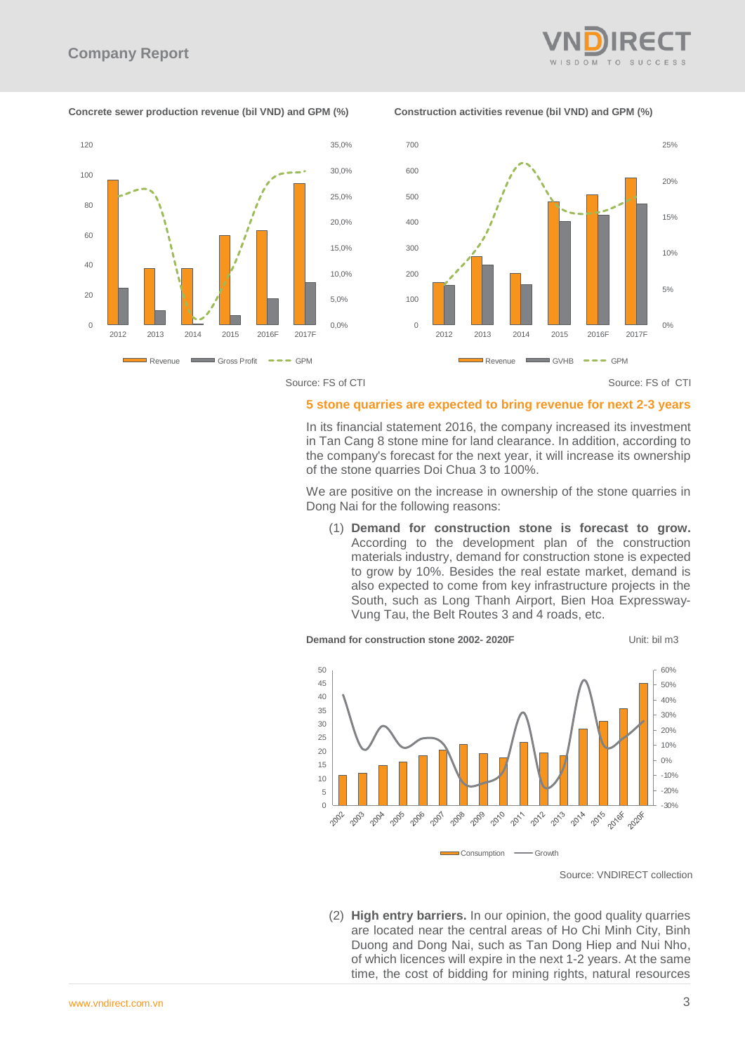

**Concrete sewer production revenue (bil VND) and GPM (%) Construction activities revenue (bil VND) and GPM (%)**



Source: FS of CTI Source: FS of CTI

## **5 stone quarries are expected to bring revenue for next 2-3 years**

In its financial statement 2016, the company increased its investment in Tan Cang 8 stone mine for land clearance. In addition, according to the company's forecast for the next year, it will increase its ownership of the stone quarries Doi Chua 3 to 100%.

We are positive on the increase in ownership of the stone quarries in Dong Nai for the following reasons:

(1) **Demand for construction stone is forecast to grow.**  According to the development plan of the construction materials industry, demand for construction stone is expected to grow by 10%. Besides the real estate market, demand is also expected to come from key infrastructure projects in the South, such as Long Thanh Airport, Bien Hoa Expressway-Vung Tau, the Belt Routes 3 and 4 roads, etc.



**Demand for construction stone 2002- 2020F** Unit: bil m3

(2) **High entry barriers.** In our opinion, the good quality quarries are located near the central areas of Ho Chi Minh City, Binh Duong and Dong Nai, such as Tan Dong Hiep and Nui Nho, of which licences will expire in the next 1-2 years. At the same

Source: VNDIRECT collection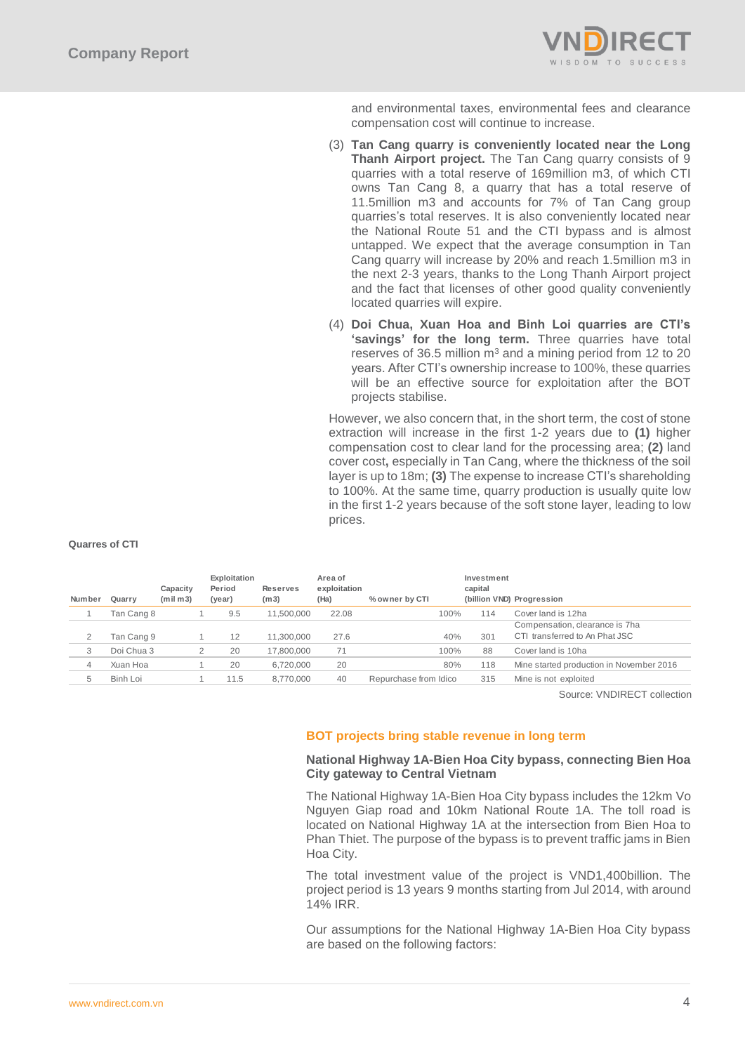

and environmental taxes, environmental fees and clearance compensation cost will continue to increase.

- (3) **Tan Cang quarry is conveniently located near the Long Thanh Airport project.** The Tan Cang quarry consists of 9 quarries with a total reserve of 169million m3, of which CTI owns Tan Cang 8, a quarry that has a total reserve of 11.5million m3 and accounts for 7% of Tan Cang group quarries's total reserves. It is also conveniently located near the National Route 51 and the CTI bypass and is almost untapped. We expect that the average consumption in Tan Cang quarry will increase by 20% and reach 1.5million m3 in the next 2-3 years, thanks to the Long Thanh Airport project and the fact that licenses of other good quality conveniently located quarries will expire.
- (4) **Doi Chua, Xuan Hoa and Binh Loi quarries are CTI's 'savings' for the long term.** Three quarries have total reserves of 36.5 million  $m<sup>3</sup>$  and a mining period from 12 to 20 years. After CTI's ownership increase to 100%, these quarries will be an effective source for exploitation after the BOT projects stabilise.

However, we also concern that, in the short term, the cost of stone extraction will increase in the first 1-2 years due to **(1)** higher compensation cost to clear land for the processing area; **(2)** land cover cost**,** especially in Tan Cang, where the thickness of the soil layer is up to 18m; **(3)** The expense to increase CTI's shareholding to 100%. At the same time, quarry production is usually quite low in the first 1-2 years because of the soft stone layer, leading to low prices.

| Number         | Quarry     | Capacity<br>(mil <sub>m3</sub> ) | Exploitation<br>Period<br>(year) | <b>Reserves</b><br>(m3) | Area of<br>exploitation<br>(Ha) | % owner by CTI        | Investment<br>capital | (billion VND) Progression                |
|----------------|------------|----------------------------------|----------------------------------|-------------------------|---------------------------------|-----------------------|-----------------------|------------------------------------------|
|                | Tan Cang 8 |                                  | 9.5                              | 11,500,000              | 22.08                           | 100%                  | 114                   | Cover land is 12ha                       |
|                |            |                                  |                                  |                         |                                 |                       |                       | Compensation, clearance is 7ha           |
| $\overline{2}$ | Tan Cang 9 |                                  | 12                               | 11,300,000              | 27.6                            | 40%                   | 301                   | CTI transferred to An Phat JSC           |
| 3              | Doi Chua 3 |                                  | 20                               | 17,800,000              | 71                              | 100%                  | 88                    | Cover land is 10ha                       |
| 4              | Xuan Hoa   |                                  | 20                               | 6.720.000               | 20                              | 80%                   | 118                   | Mine started production in November 2016 |
| 5              | Binh Loi   |                                  | 11.5                             | 8.770.000               | 40                              | Repurchase from Idico | 315                   | Mine is not exploited                    |
|                |            |                                  |                                  |                         |                                 |                       |                       | Source: VNDIRECT collection              |

Source: VNDIRECT collection

## **BOT projects bring stable revenue in long term**

## **National Highway 1A-Bien Hoa City bypass, connecting Bien Hoa City gateway to Central Vietnam**

The National Highway 1A-Bien Hoa City bypass includes the 12km Vo Nguyen Giap road and 10km National Route 1A. The toll road is located on National Highway 1A at the intersection from Bien Hoa to Phan Thiet. The purpose of the bypass is to prevent traffic jams in Bien Hoa City.

The total investment value of the project is VND1,400billion. The project period is 13 years 9 months starting from Jul 2014, with around 14% IRR.

Our assumptions for the National Highway 1A-Bien Hoa City bypass are based on the following factors:

#### **Quarres of CTI**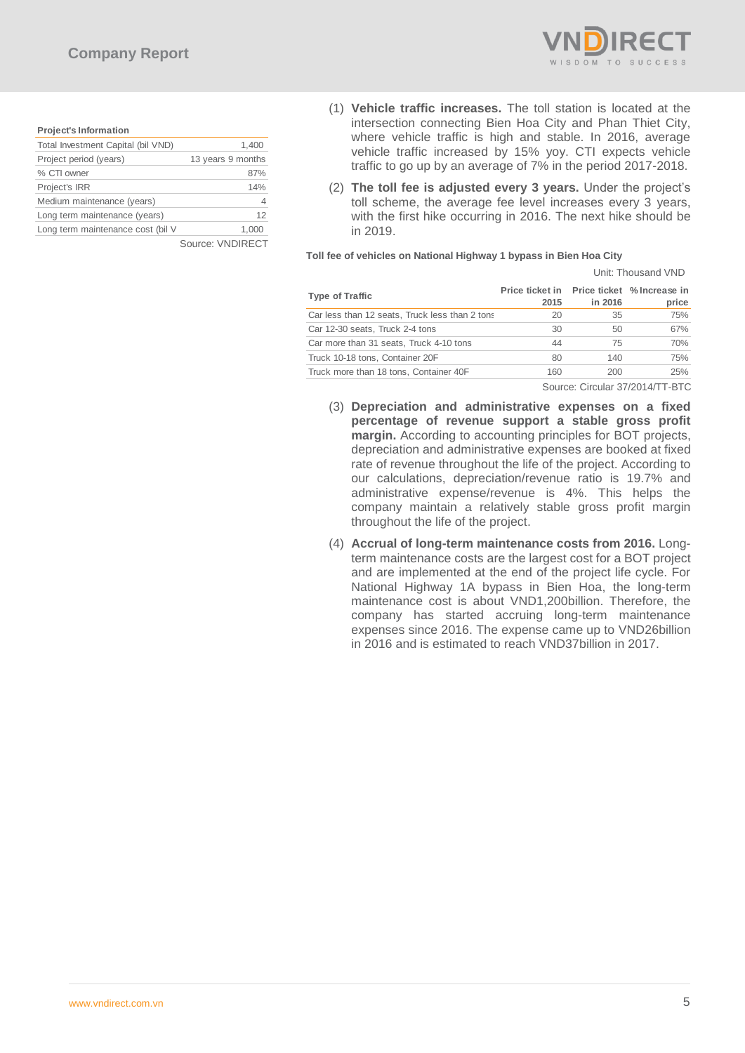

#### **Project's Information**

| Total Investment Capital (bil VND) | 1,400             |
|------------------------------------|-------------------|
| Project period (years)             | 13 years 9 months |
| % CTI owner                        | 87%               |
| Project's IRR                      | 14%               |
| Medium maintenance (years)         |                   |
| Long term maintenance (years)      | 12                |
| Long term maintenance cost (bil V  | 1.000             |
|                                    | Source: VNDIRECT  |

- (1) **Vehicle traffic increases.** The toll station is located at the intersection connecting Bien Hoa City and Phan Thiet City, where vehicle traffic is high and stable. In 2016, average vehicle traffic increased by 15% yoy. CTI expects vehicle traffic to go up by an average of 7% in the period 2017-2018.
- (2) **The toll fee is adjusted every 3 years.** Under the project's toll scheme, the average fee level increases every 3 years, with the first hike occurring in 2016. The next hike should be in 2019.

#### **Toll fee of vehicles on National Highway 1 bypass in Bien Hoa City**

|                                                |                                                    |                                                  | Unit: Thousand VND |
|------------------------------------------------|----------------------------------------------------|--------------------------------------------------|--------------------|
| <b>Type of Traffic</b>                         | Price ticket in Price ticket % Increase in<br>2015 | in 2016                                          | price              |
| Car less than 12 seats, Truck less than 2 tons | 20                                                 | 35                                               | 75%                |
| Car 12-30 seats, Truck 2-4 tons                | 30                                                 | 50                                               | 67%                |
| Car more than 31 seats, Truck 4-10 tons        | 44                                                 | 75                                               | 70%                |
| Truck 10-18 tons, Container 20F                | 80                                                 | 140                                              | 75%                |
| Truck more than 18 tons, Container 40F         | 160                                                | 200                                              | 25%                |
|                                                | $\sim$                                             | $\sim$ $\sim$ $\sim$ $\sim$ $\sim$ $\sim$ $\sim$ |                    |

Source: Circular 37/2014/TT-BTC

- (3) **Depreciation and administrative expenses on a fixed percentage of revenue support a stable gross profit margin.** According to accounting principles for BOT projects, depreciation and administrative expenses are booked at fixed rate of revenue throughout the life of the project. According to our calculations, depreciation/revenue ratio is 19.7% and administrative expense/revenue is 4%. This helps the company maintain a relatively stable gross profit margin throughout the life of the project.
- (4) **Accrual of long-term maintenance costs from 2016.** Longterm maintenance costs are the largest cost for a BOT project and are implemented at the end of the project life cycle. For National Highway 1A bypass in Bien Hoa, the long-term maintenance cost is about VND1,200billion. Therefore, the company has started accruing long-term maintenance expenses since 2016. The expense came up to VND26billion in 2016 and is estimated to reach VND37billion in 2017.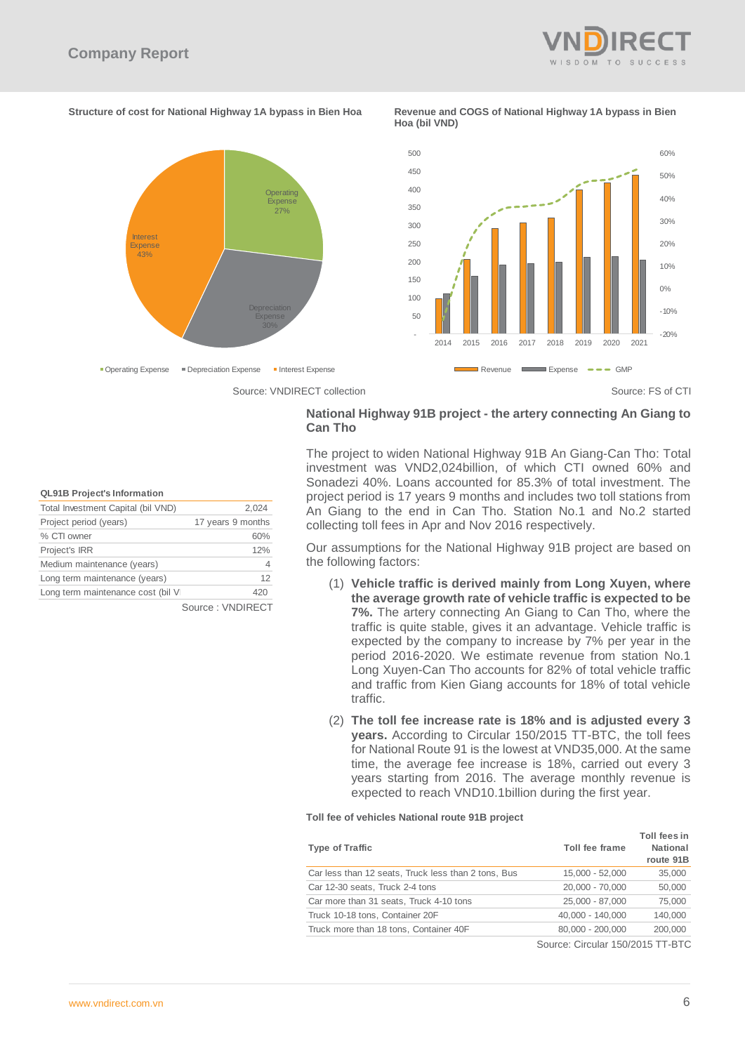

#### **Structure of cost for National Highway 1A bypass in Bien Hoa Revenue and COGS of National Highway 1A bypass in Bien**

**Hoa (bil VND)**



## **National Highway 91B project - the artery connecting An Giang to Can Tho**

The project to widen National Highway 91B An Giang-Can Tho: Total investment was VND2,024billion, of which CTI owned 60% and Sonadezi 40%. Loans accounted for 85.3% of total investment. The project period is 17 years 9 months and includes two toll stations from An Giang to the end in Can Tho. Station No.1 and No.2 started collecting toll fees in Apr and Nov 2016 respectively.

Our assumptions for the National Highway 91B project are based on the following factors:

- (1) **Vehicle traffic is derived mainly from Long Xuyen, where the average growth rate of vehicle traffic is expected to be 7%.** The artery connecting An Giang to Can Tho, where the traffic is quite stable, gives it an advantage. Vehicle traffic is expected by the company to increase by 7% per year in the period 2016-2020. We estimate revenue from station No.1 Long Xuyen-Can Tho accounts for 82% of total vehicle traffic and traffic from Kien Giang accounts for 18% of total vehicle traffic.
- (2) **The toll fee increase rate is 18% and is adjusted every 3 years.** According to Circular 150/2015 TT-BTC, the toll fees for National Route 91 is the lowest at VND35,000. At the same time, the average fee increase is 18%, carried out every 3 years starting from 2016. The average monthly revenue is expected to reach VND10.1billion during the first year.

#### **Toll fee of vehicles National route 91B project**

| <b>Type of Traffic</b>                              | Toll fee frame   | Toll fees in<br><b>National</b><br>route 91B |
|-----------------------------------------------------|------------------|----------------------------------------------|
| Car less than 12 seats, Truck less than 2 tons, Bus | 15,000 - 52,000  | 35,000                                       |
| Car 12-30 seats, Truck 2-4 tons                     | 20.000 - 70.000  | 50,000                                       |
| Car more than 31 seats, Truck 4-10 tons             | 25.000 - 87.000  | 75,000                                       |
| Truck 10-18 tons, Container 20F                     | 40,000 - 140,000 | 140,000                                      |
| Truck more than 18 tons, Container 40F              | 80,000 - 200,000 | 200,000                                      |

Source: Circular 150/2015 TT-BTC

#### **QL91B Project's Information**

| Total Investment Capital (bil VND) | 2,024             |
|------------------------------------|-------------------|
| Project period (years)             | 17 years 9 months |
| % CTI owner                        | 60%               |
| Project's IRR                      | 12%               |
| Medium maintenance (years)         | 4                 |
| Long term maintenance (years)      | 12                |
| Long term maintenance cost (bil V  | 420               |
|                                    | Source: VNDIRFCT  |

ource : VNDIRECT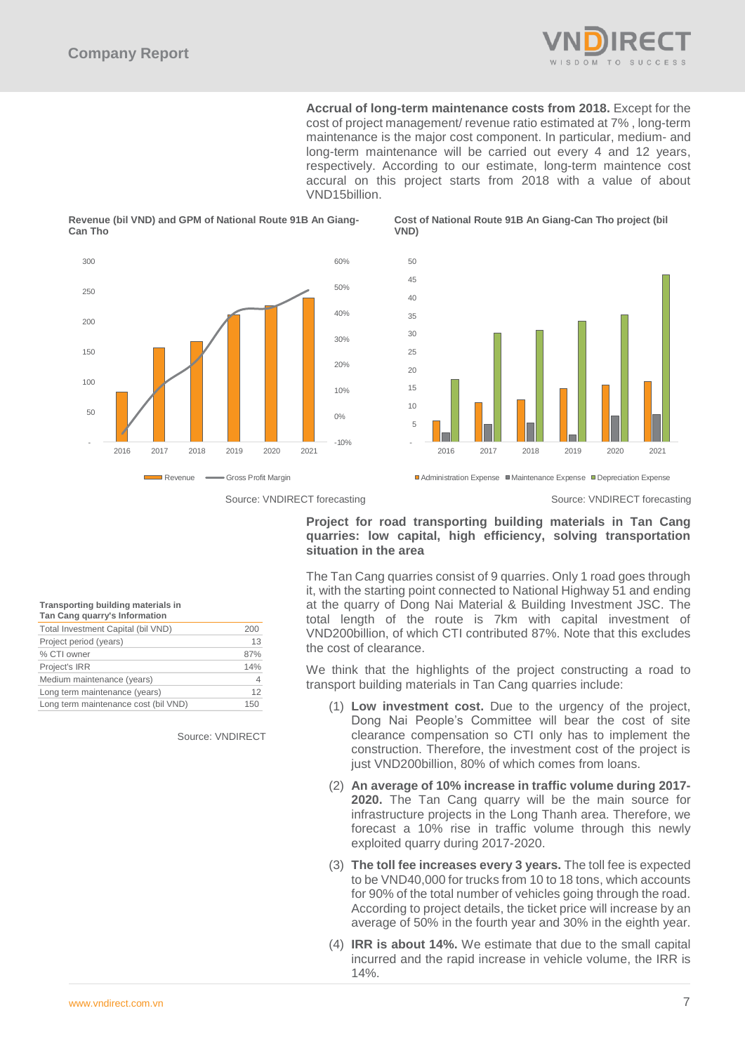

**Accrual of long-term maintenance costs from 2018.** Except for the cost of project management/ revenue ratio estimated at 7% , long-term maintenance is the major cost component. In particular, medium- and long-term maintenance will be carried out every 4 and 12 years, respectively. According to our estimate, long-term maintence cost accural on this project starts from 2018 with a value of about VND15billion.

#### **Revenue (bil VND) and GPM of National Route 91B An Giang-Can Tho**



**Cost of National Route 91B An Giang-Can Tho project (bil VND)**



Source: VNDIRECT forecasting Source: VNDIRECT forecasting Source: VNDIRECT forecasting

Administration Expense Maintenance Expense Depreciation Expense

## **Project for road transporting building materials in Tan Cang quarries: low capital, high efficiency, solving transportation situation in the area**

The Tan Cang quarries consist of 9 quarries. Only 1 road goes through it, with the starting point connected to National Highway 51 and ending at the quarry of Dong Nai Material & Building Investment JSC. The total length of the route is 7km with capital investment of VND200billion, of which CTI contributed 87%. Note that this excludes the cost of clearance.

We think that the highlights of the project constructing a road to transport building materials in Tan Cang quarries include:

- (1) **Low investment cost.** Due to the urgency of the project, Dong Nai People's Committee will bear the cost of site clearance compensation so CTI only has to implement the construction. Therefore, the investment cost of the project is just VND200billion, 80% of which comes from loans.
- (2) **An average of 10% increase in traffic volume during 2017- 2020.** The Tan Cang quarry will be the main source for infrastructure projects in the Long Thanh area. Therefore, we forecast a 10% rise in traffic volume through this newly exploited quarry during 2017-2020.
- (3) **The toll fee increases every 3 years.** The toll fee is expected to be VND40,000 for trucks from 10 to 18 tons, which accounts for 90% of the total number of vehicles going through the road. According to project details, the ticket price will increase by an average of 50% in the fourth year and 30% in the eighth year.
- (4) **IRR is about 14%.** We estimate that due to the small capital incurred and the rapid increase in vehicle volume, the IRR is

# **Transporting building materials in**

| Tan Cang quarry's Information        |     |
|--------------------------------------|-----|
| Total Investment Capital (bil VND)   | 200 |
| Project period (years)               | 13  |
| % CTI owner                          | 87% |
| Project's IRR                        | 14% |
| Medium maintenance (years)           |     |
| Long term maintenance (years)        | 12  |
| Long term maintenance cost (bil VND) | 150 |
|                                      |     |

Source: VNDIRECT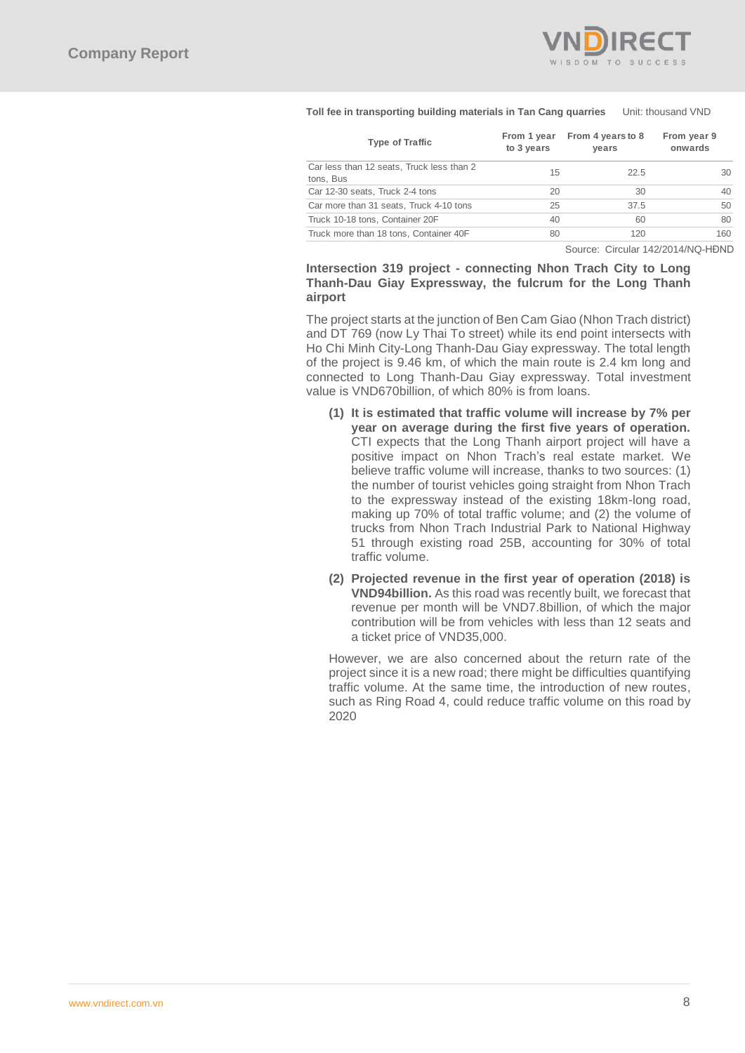

#### **Toll fee in transporting building materials in Tan Cang quarries** Unit: thousand VND

| <b>Type of Traffic</b>                                 | From 1 year<br>to 3 years | From 4 years to 8<br>years | From year 9<br>onwards |
|--------------------------------------------------------|---------------------------|----------------------------|------------------------|
| Car less than 12 seats, Truck less than 2<br>tons, Bus | 15                        | 22.5                       | 30                     |
| Car 12-30 seats, Truck 2-4 tons                        | 20                        | 30                         | 40                     |
| Car more than 31 seats, Truck 4-10 tons                | 25                        | 37.5                       | 50                     |
| Truck 10-18 tons, Container 20F                        | 40                        | 60                         | 80                     |
| Truck more than 18 tons, Container 40F                 | 80                        | 120                        | 160                    |
|                                                        |                           |                            |                        |

Source: Circular 142/2014/NQ-HĐND

## **Intersection 319 project - connecting Nhon Trach City to Long Thanh-Dau Giay Expressway, the fulcrum for the Long Thanh airport**

The project starts at the junction of Ben Cam Giao (Nhon Trach district) and DT 769 (now Ly Thai To street) while its end point intersects with Ho Chi Minh City-Long Thanh-Dau Giay expressway. The total length of the project is 9.46 km, of which the main route is 2.4 km long and connected to Long Thanh-Dau Giay expressway. Total investment value is VND670billion, of which 80% is from loans.

- **(1) It is estimated that traffic volume will increase by 7% per year on average during the first five years of operation.** CTI expects that the Long Thanh airport project will have a positive impact on Nhon Trach's real estate market. We believe traffic volume will increase, thanks to two sources: (1) the number of tourist vehicles going straight from Nhon Trach to the expressway instead of the existing 18km-long road, making up 70% of total traffic volume; and (2) the volume of trucks from Nhon Trach Industrial Park to National Highway 51 through existing road 25B, accounting for 30% of total traffic volume.
- **(2) Projected revenue in the first year of operation (2018) is VND94billion.** As this road was recently built, we forecast that revenue per month will be VND7.8billion, of which the major contribution will be from vehicles with less than 12 seats and a ticket price of VND35,000.

However, we are also concerned about the return rate of the project since it is a new road; there might be difficulties quantifying traffic volume. At the same time, the introduction of new routes, such as Ring Road 4, could reduce traffic volume on this road by 2020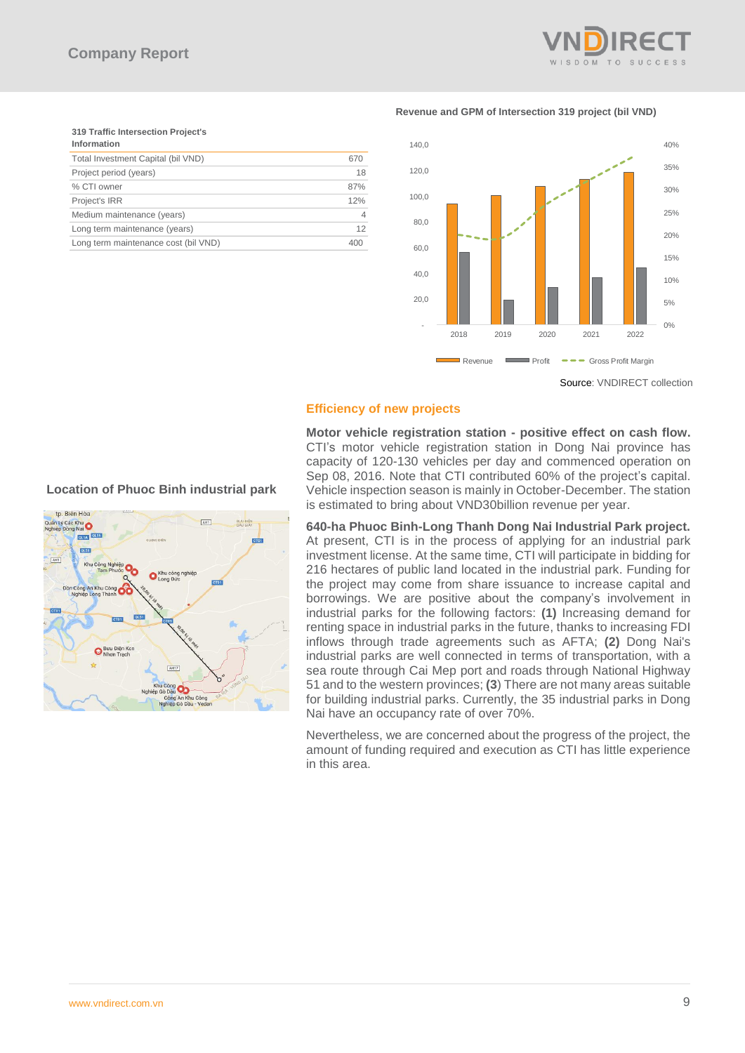

**Revenue and GPM of Intersection 319 project (bil VND)**

## **319 Traffic Intersection Project's Information** Total Investment Capital (bil VND) 670<br>Project period (vears) 18 Project period (years) % CTI owner 87% Project's IRR 12% Medium maintenance (years) 4 Long term maintenance (years) 12 Long term maintenance cost (bil VND) 400



Source: VNDIRECT collection

## **Efficiency of new projects**

**Motor vehicle registration station - positive effect on cash flow.** CTI's motor vehicle registration station in Dong Nai province has capacity of 120-130 vehicles per day and commenced operation on Sep 08, 2016. Note that CTI contributed 60% of the project's capital. Vehicle inspection season is mainly in October-December. The station is estimated to bring about VND30billion revenue per year.

**640-ha Phuoc Binh-Long Thanh Dong Nai Industrial Park project.** At present, CTI is in the process of applying for an industrial park investment license. At the same time, CTI will participate in bidding for 216 hectares of public land located in the industrial park. Funding for the project may come from share issuance to increase capital and borrowings. We are positive about the company's involvement in industrial parks for the following factors: **(1)** Increasing demand for renting space in industrial parks in the future, thanks to increasing FDI inflows through trade agreements such as AFTA; **(2)** Dong Nai's industrial parks are well connected in terms of transportation, with a sea route through Cai Mep port and roads through National Highway 51 and to the western provinces; **(3**) There are not many areas suitable for building industrial parks. Currently, the 35 industrial parks in Dong Nai have an occupancy rate of over 70%.

Nevertheless, we are concerned about the progress of the project, the amount of funding required and execution as CTI has little experience in this area.

## **Location of Phuoc Binh industrial park**

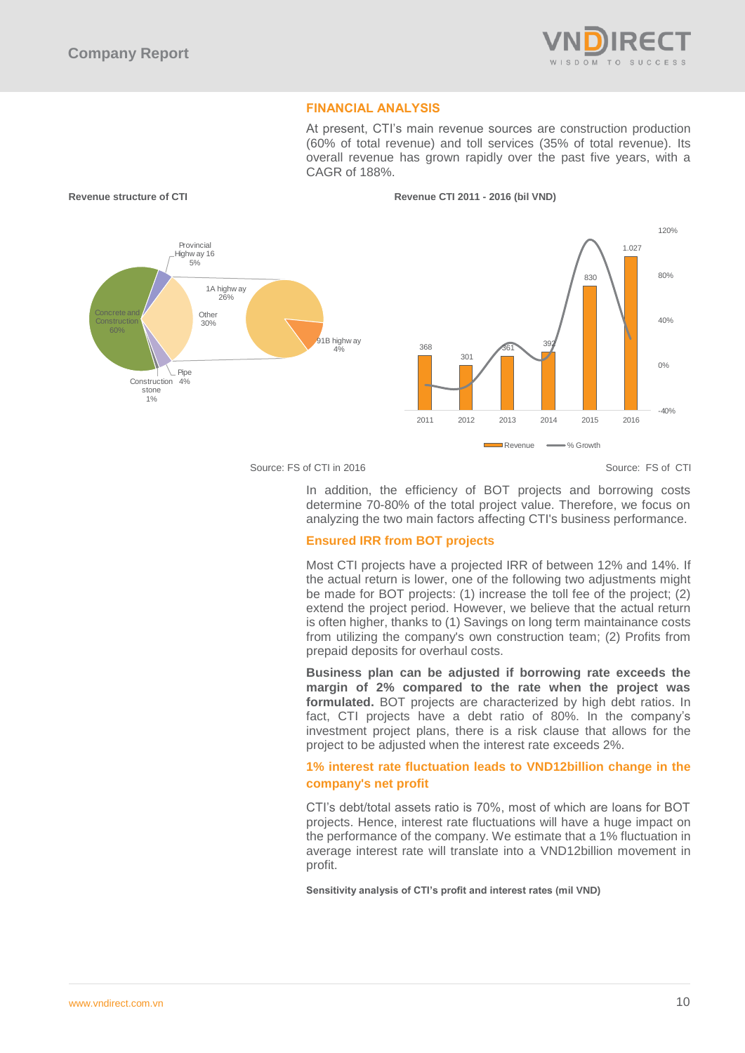

## **FINANCIAL ANALYSIS**

At present, CTI's main revenue sources are construction production (60% of total revenue) and toll services (35% of total revenue). Its overall revenue has grown rapidly over the past five years, with a CAGR of 188%.



**Revenue structure of CTI Revenue CTI 2011 - 2016 (bil VND)**

#### Source: FS of CTI in 2016 Source: FS of CTI in 2016

In addition, the efficiency of BOT projects and borrowing costs determine 70-80% of the total project value. Therefore, we focus on analyzing the two main factors affecting CTI's business performance.

## **Ensured IRR from BOT projects**

Most CTI projects have a projected IRR of between 12% and 14%. If the actual return is lower, one of the following two adjustments might be made for BOT projects: (1) increase the toll fee of the project; (2) extend the project period. However, we believe that the actual return is often higher, thanks to (1) Savings on long term maintainance costs from utilizing the company's own construction team; (2) Profits from prepaid deposits for overhaul costs.

**Business plan can be adjusted if borrowing rate exceeds the margin of 2% compared to the rate when the project was formulated.** BOT projects are characterized by high debt ratios. In fact, CTI projects have a debt ratio of 80%. In the company's investment project plans, there is a risk clause that allows for the project to be adjusted when the interest rate exceeds 2%.

## **1% interest rate fluctuation leads to VND12billion change in the company's net profit**

CTI's debt/total assets ratio is 70%, most of which are loans for BOT projects. Hence, interest rate fluctuations will have a huge impact on the performance of the company. We estimate that a 1% fluctuation in average interest rate will translate into a VND12billion movement in profit.

**Sensitivity analysis of CTI's profit and interest rates (mil VND)**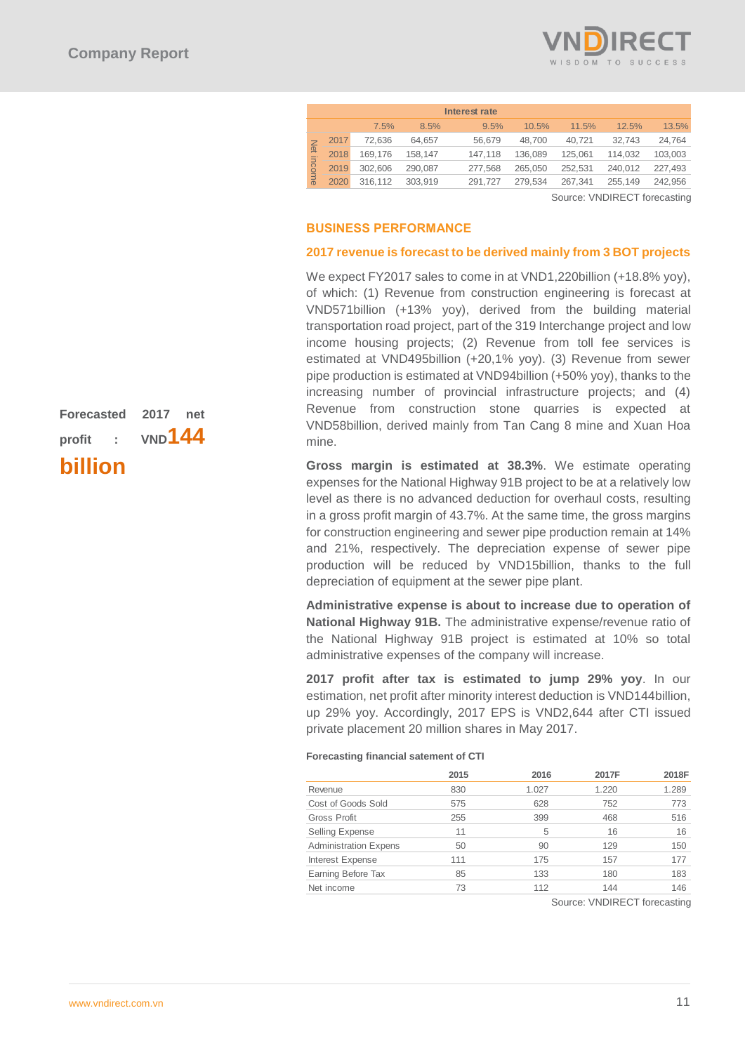

|       |      |         |         | Interest rate |         |         |         |         |
|-------|------|---------|---------|---------------|---------|---------|---------|---------|
|       |      | 7.5%    | 8.5%    | 9.5%          | 10.5%   | 11.5%   | 12.5%   | 13.5%   |
|       | 2017 | 72,636  | 64.657  | 56.679        | 48.700  | 40.721  | 32,743  | 24,764  |
| 向     | 2018 | 169.176 | 158.147 | 147,118       | 136.089 | 125.061 | 114.032 | 103.003 |
| ncome | 2019 | 302.606 | 290.087 | 277.568       | 265.050 | 252.531 | 240.012 | 227.493 |
|       | 2020 | 316.112 | 303.919 | 291.727       | 279.534 | 267.341 | 255,149 | 242,956 |

Source: VNDIRECT forecasting

### **BUSINESS PERFORMANCE**

#### **2017 revenue is forecast to be derived mainly from 3 BOT projects**

We expect FY2017 sales to come in at VND1,220billion (+18.8% yoy), of which: (1) Revenue from construction engineering is forecast at VND571billion (+13% yoy), derived from the building material transportation road project, part of the 319 Interchange project and low income housing projects; (2) Revenue from toll fee services is estimated at VND495billion (+20,1% yoy). (3) Revenue from sewer pipe production is estimated at VND94billion (+50% yoy), thanks to the increasing number of provincial infrastructure projects; and (4) Revenue from construction stone quarries is expected at VND58billion, derived mainly from Tan Cang 8 mine and Xuan Hoa mine.

**Gross margin is estimated at 38.3%**. We estimate operating expenses for the National Highway 91B project to be at a relatively low level as there is no advanced deduction for overhaul costs, resulting in a gross profit margin of 43.7%. At the same time, the gross margins for construction engineering and sewer pipe production remain at 14% and 21%, respectively. The depreciation expense of sewer pipe production will be reduced by VND15billion, thanks to the full depreciation of equipment at the sewer pipe plant.

**Administrative expense is about to increase due to operation of National Highway 91B.** The administrative expense/revenue ratio of the National Highway 91B project is estimated at 10% so total administrative expenses of the company will increase.

**2017 profit after tax is estimated to jump 29% yoy**. In our estimation, net profit after minority interest deduction is VND144billion, up 29% yoy. Accordingly, 2017 EPS is VND2,644 after CTI issued private placement 20 million shares in May 2017.

#### **Forecasting financial satement of CTI**

|                              | 2015 | 2016  | 2017F | 2018F |
|------------------------------|------|-------|-------|-------|
| Revenue                      | 830  | 1.027 | 1.220 | 1.289 |
| Cost of Goods Sold           | 575  | 628   | 752   | 773   |
| Gross Profit                 | 255  | 399   | 468   | 516   |
| <b>Selling Expense</b>       | 11   | 5     | 16    | 16    |
| <b>Administration Expens</b> | 50   | 90    | 129   | 150   |
| Interest Expense             | 111  | 175   | 157   | 177   |
| Earning Before Tax           | 85   | 133   | 180   | 183   |
| Net income                   | 73   | 112   | 144   | 146   |
|                              |      |       |       |       |

Source: VNDIRECT forecasting

|        |                 | Forecasted 2017 net |  |
|--------|-----------------|---------------------|--|
| profit | $\sim 10^{-11}$ | VND <sup>144</sup>  |  |
|        |                 |                     |  |

**billion**

#### [www.vndirect.com.vn](file:///C:/Users/thanh.ngokim/AppData/Local/Temp/www.vndirect.com.vn) 11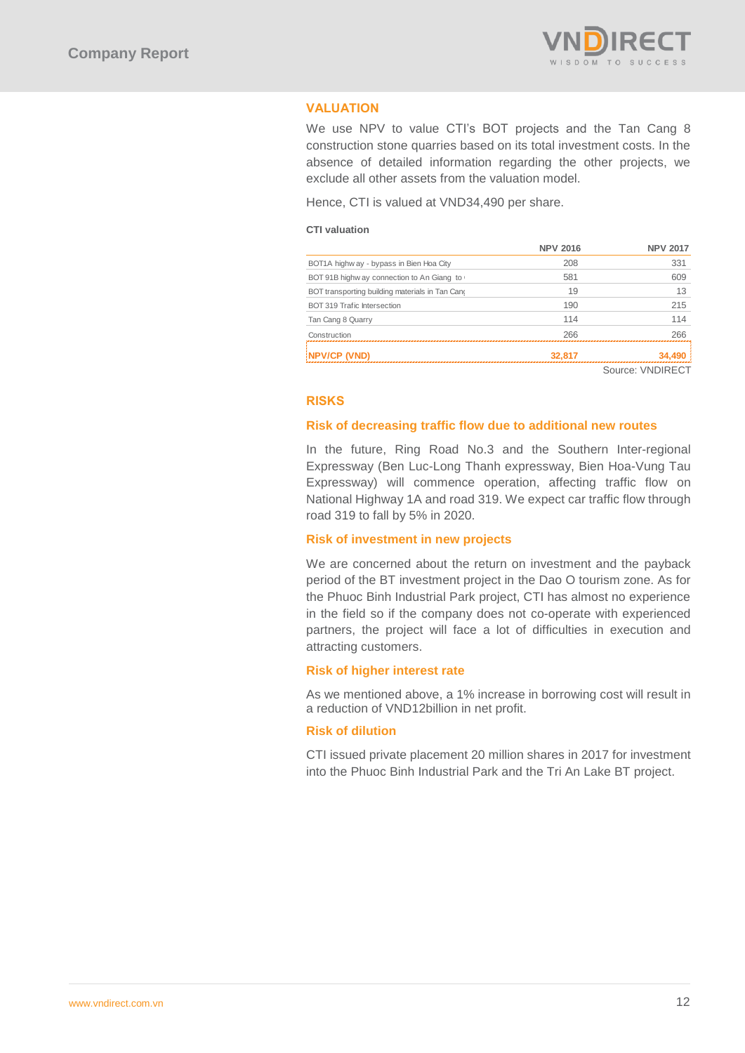

## **VALUATION**

We use NPV to value CTI's BOT projects and the Tan Cang 8 construction stone quarries based on its total investment costs. In the absence of detailed information regarding the other projects, we exclude all other assets from the valuation model.

Hence, CTI is valued at VND34,490 per share.

## **CTI valuation**

| <b>UTT VAIUALIUIT</b>                           |                 |                 |
|-------------------------------------------------|-----------------|-----------------|
|                                                 | <b>NPV 2016</b> | <b>NPV 2017</b> |
| BOT1A highw ay - bypass in Bien Hoa City        | 208             | 331             |
| BOT 91B highw ay connection to An Giang to      | 581             | 609             |
| BOT transporting building materials in Tan Cano | 19              | 13              |
| BOT 319 Trafic Intersection                     | 190             | 215             |
| Tan Cang 8 Quarry                               | 114             | 114             |
| Construction                                    | 266             | 266             |
| NPV/CP (VND)                                    | 32.817          | 34.49           |

Source: VNDIRECT

## **RISKS**

#### **Risk of decreasing traffic flow due to additional new routes**

In the future, Ring Road No.3 and the Southern Inter-regional Expressway (Ben Luc-Long Thanh expressway, Bien Hoa-Vung Tau Expressway) will commence operation, affecting traffic flow on National Highway 1A and road 319. We expect car traffic flow through road 319 to fall by 5% in 2020.

## **Risk of investment in new projects**

We are concerned about the return on investment and the payback period of the BT investment project in the Dao O tourism zone. As for the Phuoc Binh Industrial Park project, CTI has almost no experience in the field so if the company does not co-operate with experienced partners, the project will face a lot of difficulties in execution and attracting customers.

## **Risk of higher interest rate**

As we mentioned above, a 1% increase in borrowing cost will result in a reduction of VND12billion in net profit.

## **Risk of dilution**

CTI issued private placement 20 million shares in 2017 for investment into the Phuoc Binh Industrial Park and the Tri An Lake BT project.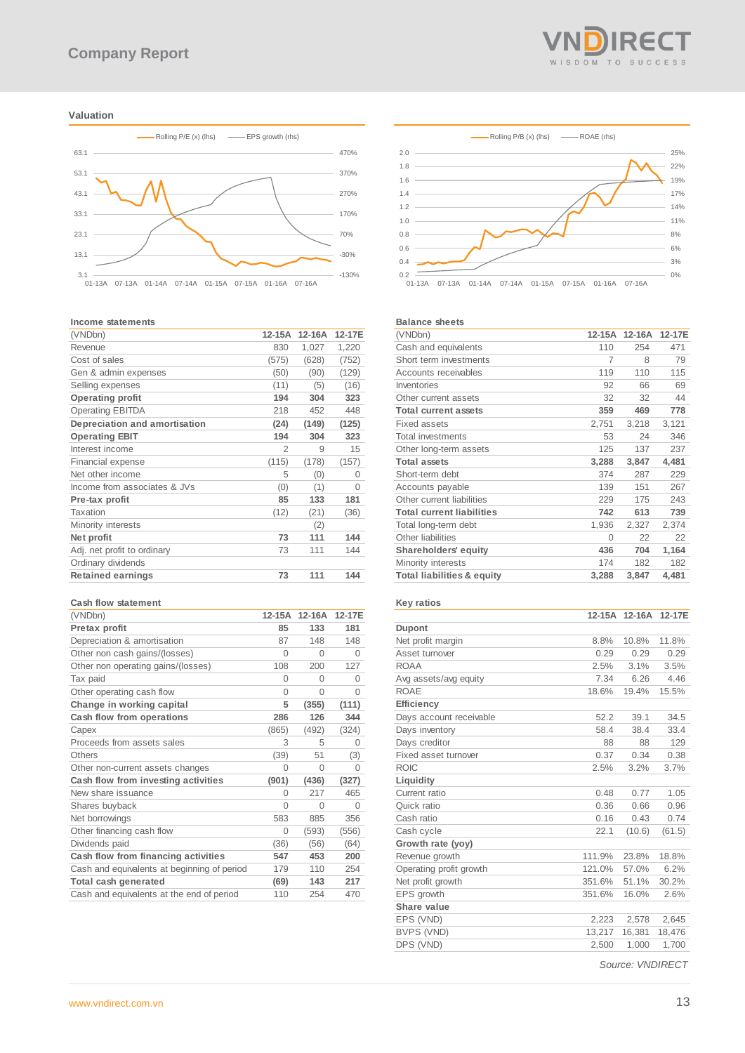#### **Valuation**



#### **Income statements**

| (VNDbn)                       | 12-15A        | $12-16A$ | 12-17E   |
|-------------------------------|---------------|----------|----------|
| Revenue                       | 830           | 1,027    | 1,220    |
| Cost of sales                 | (575)         | (628)    | (752)    |
| Gen & admin expenses          | (50)          | (90)     | (129)    |
| Selling expenses              | (11)          | (5)      | (16)     |
| <b>Operating profit</b>       | 194           | 304      | 323      |
| <b>Operating EBITDA</b>       | 218           | 452      | 448      |
| Depreciation and amortisation | (24)          | (149)    | (125)    |
| <b>Operating EBIT</b>         | 194           | 304      | 323      |
| Interest income               | $\mathcal{P}$ | 9        | 15       |
| Financial expense             | (115)         | (178)    | (157)    |
| Net other income              | 5             | (0)      | $\Omega$ |
| Income from associates & JVs  | (0)           | (1)      | $\Omega$ |
| Pre-tax profit                | 85            | 133      | 181      |
| Taxation                      | (12)          | (21)     | (36)     |
| Minority interests            |               | (2)      |          |
| Net profit                    | 73            | 111      | 144      |
| Adj. net profit to ordinary   | 73            | 111      | 144      |
| Ordinary dividends            |               |          |          |
| <b>Retained earnings</b>      | 73            | 111      | 144      |

#### **Cash flow statement**

| (VNDbn)                                     | $12-15A$ | $12-16A$ | 12-17E   |
|---------------------------------------------|----------|----------|----------|
| Pretax profit                               | 85       | 133      | 181      |
| Depreciation & amortisation                 | 87       | 148      | 148      |
| Other non cash gains/(losses)               | $\Omega$ | $\Omega$ | $\Omega$ |
| Other non operating gains/(losses)          | 108      | 200      | 127      |
| Tax paid                                    | $\Omega$ | $\Omega$ | $\Omega$ |
| Other operating cash flow                   | $\Omega$ | $\Omega$ | $\Omega$ |
| Change in working capital                   | 5        | (355)    | (111)    |
| Cash flow from operations                   | 286      | 126      | 344      |
| Capex                                       | (865)    | (492)    | (324)    |
| Proceeds from assets sales                  | 3        | 5        | 0        |
| Others                                      | (39)     | 51       | (3)      |
| Other non-current assets changes            | $\Omega$ | $\Omega$ | $\Omega$ |
| Cash flow from investing activities         | (901)    | (436)    | (327)    |
| New share issuance                          | $\Omega$ | 217      | 465      |
| Shares buyback                              | $\Omega$ | $\Omega$ | $\Omega$ |
| Net borrowings                              | 583      | 885      | 356      |
| Other financing cash flow                   | $\Omega$ | (593)    | (556)    |
| Dividends paid                              | (36)     | (56)     | (64)     |
| Cash flow from financing activities         | 547      | 453      | 200      |
| Cash and equivalents at beginning of period | 179      | 110      | 254      |
| Total cash generated                        | (69)     | 143      | 217      |
| Cash and equivalents at the end of period   | 110      | 254      | 470      |





#### **Balance sheets**

| (VNDbn)                               | $12-15A$ | 12-16A | 12-17E |
|---------------------------------------|----------|--------|--------|
| Cash and equivalents                  | 110      | 254    | 471    |
| Short term investments                | 7        | 8      | 79     |
| Accounts receivables                  | 119      | 110    | 115    |
| Inventories                           | 92       | 66     | 69     |
| Other current assets                  | 32       | 32     | 44     |
| <b>Total current assets</b>           | 359      | 469    | 778    |
| Fixed assets                          | 2,751    | 3,218  | 3,121  |
| <b>Total investments</b>              | 53       | 24     | 346    |
| Other long-term assets                | 125      | 137    | 237    |
| <b>Total assets</b>                   | 3,288    | 3,847  | 4,481  |
| Short-term debt                       | 374      | 287    | 229    |
| Accounts payable                      | 139      | 151    | 267    |
| Other current liabilities             | 229      | 175    | 243    |
| <b>Total current liabilities</b>      | 742      | 613    | 739    |
| Total long-term debt                  | 1,936    | 2,327  | 2,374  |
| Other liabilities                     | $\Omega$ | 22     | 22     |
| Shareholders' equity                  | 436      | 704    | 1,164  |
| Minority interests                    | 174      | 182    | 182    |
| <b>Total liabilities &amp; equity</b> | 3,288    | 3,847  | 4,481  |
|                                       |          |        |        |

#### **Key ratios**

| Dupont<br>Net profit margin<br>8.8%<br>10.8%<br>11.8%<br>Asset turnover<br>0.29<br>0.29<br>0.29<br><b>ROAA</b><br>2.5%<br>3.1%<br>3.5%<br>7.34<br>6.26<br>4.46<br>Avg assets/avg equity<br><b>ROAE</b><br>18.6%<br>19.4%<br>15.5%<br><b>Efficiency</b><br>52.2<br>39.1<br>34.5<br>Days account receivable<br>Days inventory<br>58.4<br>38.4<br>33.4<br>Days creditor<br>129<br>88<br>88<br>Fixed asset turnover<br>0.37<br>0.34<br>0.38<br><b>ROIC</b><br>2.5%<br>3.2%<br>3.7%<br>Liquidity<br>Current ratio<br>0.48<br>0.77<br>1.05<br>Quick ratio<br>0.36<br>0.66<br>0.96<br>0.16<br>Cash ratio<br>0.43<br>0.74<br>(10.6)<br>Cash cycle<br>22.1<br>(61.5)<br>Growth rate (yoy)<br>111.9%<br>23.8%<br>18.8%<br>Revenue growth<br>Operating profit growth<br>121.0%<br>6.2%<br>57.0%<br>Net profit growth<br>351.6%<br>51.1%<br>30.2%<br>EPS growth<br>351.6%<br>16.0%<br>2.6%<br>Share value<br>EPS (VND)<br>2,223<br>2,578<br>2,645<br>BVPS (VND)<br>13.217<br>16,381<br>18,476<br>DPS (VND)<br>1,000<br>1,700<br>2,500 | $12-15A$ | 12-16A | 12-17E |
|---------------------------------------------------------------------------------------------------------------------------------------------------------------------------------------------------------------------------------------------------------------------------------------------------------------------------------------------------------------------------------------------------------------------------------------------------------------------------------------------------------------------------------------------------------------------------------------------------------------------------------------------------------------------------------------------------------------------------------------------------------------------------------------------------------------------------------------------------------------------------------------------------------------------------------------------------------------------------------------------------------------------------|----------|--------|--------|
|                                                                                                                                                                                                                                                                                                                                                                                                                                                                                                                                                                                                                                                                                                                                                                                                                                                                                                                                                                                                                           |          |        |        |
|                                                                                                                                                                                                                                                                                                                                                                                                                                                                                                                                                                                                                                                                                                                                                                                                                                                                                                                                                                                                                           |          |        |        |
|                                                                                                                                                                                                                                                                                                                                                                                                                                                                                                                                                                                                                                                                                                                                                                                                                                                                                                                                                                                                                           |          |        |        |
|                                                                                                                                                                                                                                                                                                                                                                                                                                                                                                                                                                                                                                                                                                                                                                                                                                                                                                                                                                                                                           |          |        |        |
|                                                                                                                                                                                                                                                                                                                                                                                                                                                                                                                                                                                                                                                                                                                                                                                                                                                                                                                                                                                                                           |          |        |        |
|                                                                                                                                                                                                                                                                                                                                                                                                                                                                                                                                                                                                                                                                                                                                                                                                                                                                                                                                                                                                                           |          |        |        |
|                                                                                                                                                                                                                                                                                                                                                                                                                                                                                                                                                                                                                                                                                                                                                                                                                                                                                                                                                                                                                           |          |        |        |
|                                                                                                                                                                                                                                                                                                                                                                                                                                                                                                                                                                                                                                                                                                                                                                                                                                                                                                                                                                                                                           |          |        |        |
|                                                                                                                                                                                                                                                                                                                                                                                                                                                                                                                                                                                                                                                                                                                                                                                                                                                                                                                                                                                                                           |          |        |        |
|                                                                                                                                                                                                                                                                                                                                                                                                                                                                                                                                                                                                                                                                                                                                                                                                                                                                                                                                                                                                                           |          |        |        |
|                                                                                                                                                                                                                                                                                                                                                                                                                                                                                                                                                                                                                                                                                                                                                                                                                                                                                                                                                                                                                           |          |        |        |
|                                                                                                                                                                                                                                                                                                                                                                                                                                                                                                                                                                                                                                                                                                                                                                                                                                                                                                                                                                                                                           |          |        |        |
|                                                                                                                                                                                                                                                                                                                                                                                                                                                                                                                                                                                                                                                                                                                                                                                                                                                                                                                                                                                                                           |          |        |        |
|                                                                                                                                                                                                                                                                                                                                                                                                                                                                                                                                                                                                                                                                                                                                                                                                                                                                                                                                                                                                                           |          |        |        |
|                                                                                                                                                                                                                                                                                                                                                                                                                                                                                                                                                                                                                                                                                                                                                                                                                                                                                                                                                                                                                           |          |        |        |
|                                                                                                                                                                                                                                                                                                                                                                                                                                                                                                                                                                                                                                                                                                                                                                                                                                                                                                                                                                                                                           |          |        |        |
|                                                                                                                                                                                                                                                                                                                                                                                                                                                                                                                                                                                                                                                                                                                                                                                                                                                                                                                                                                                                                           |          |        |        |
|                                                                                                                                                                                                                                                                                                                                                                                                                                                                                                                                                                                                                                                                                                                                                                                                                                                                                                                                                                                                                           |          |        |        |
|                                                                                                                                                                                                                                                                                                                                                                                                                                                                                                                                                                                                                                                                                                                                                                                                                                                                                                                                                                                                                           |          |        |        |
|                                                                                                                                                                                                                                                                                                                                                                                                                                                                                                                                                                                                                                                                                                                                                                                                                                                                                                                                                                                                                           |          |        |        |
|                                                                                                                                                                                                                                                                                                                                                                                                                                                                                                                                                                                                                                                                                                                                                                                                                                                                                                                                                                                                                           |          |        |        |
|                                                                                                                                                                                                                                                                                                                                                                                                                                                                                                                                                                                                                                                                                                                                                                                                                                                                                                                                                                                                                           |          |        |        |
|                                                                                                                                                                                                                                                                                                                                                                                                                                                                                                                                                                                                                                                                                                                                                                                                                                                                                                                                                                                                                           |          |        |        |
|                                                                                                                                                                                                                                                                                                                                                                                                                                                                                                                                                                                                                                                                                                                                                                                                                                                                                                                                                                                                                           |          |        |        |
|                                                                                                                                                                                                                                                                                                                                                                                                                                                                                                                                                                                                                                                                                                                                                                                                                                                                                                                                                                                                                           |          |        |        |
|                                                                                                                                                                                                                                                                                                                                                                                                                                                                                                                                                                                                                                                                                                                                                                                                                                                                                                                                                                                                                           |          |        |        |

*Source: VNDIRECT*